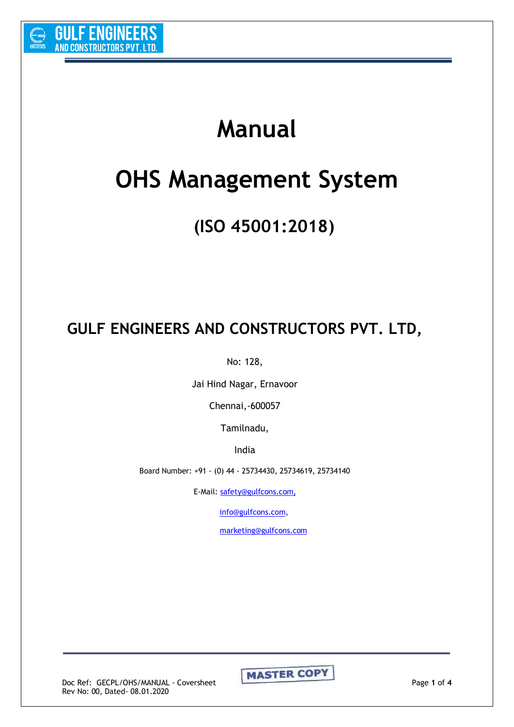

# **Manual**

# **OHS Management System**

## **(ISO 45001:2018)**

## **GULF ENGINEERS AND CONSTRUCTORS PVT. LTD,**

No: 128,

Jai Hind Nagar, Ernavoor

Chennai,-600057

Tamilnadu,

India

Board Number: +91 - (0) 44 - 25734430, 25734619, 25734140

E-Mail: [safety@gulfcons.com](mailto:safety@gulfcons.com),

[info@gulfcons.com,](mailto:info@gulfcons.com)

[marketing@gulfcons.com](mailto:marketing@gulfcons.com)

Rev No: 00, Dated- 08.01.2020

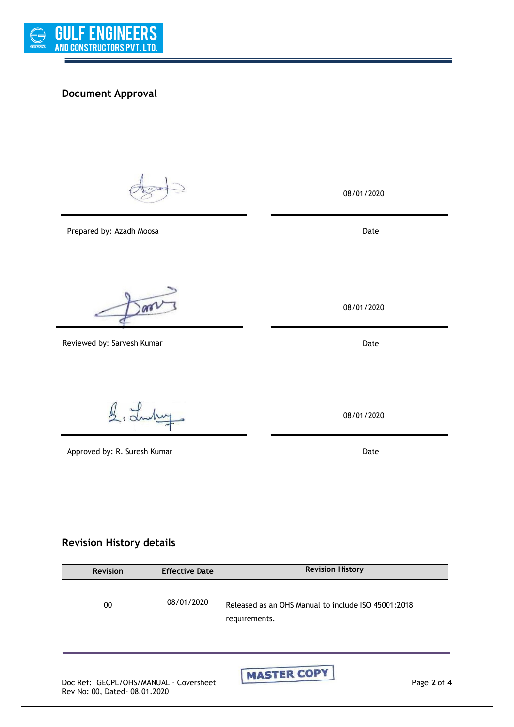

### **Document Approval**

Prepared by: Azadh Moosa

are1

Reviewed by: Sarvesh Kumar

í

1. Luchury

Approved by: R. Suresh Kumar Date Communications and Date Date

08/01/2020

Date

08/01/2020

**Date** 

08/01/2020

#### **Revision History details**

| <b>Revision</b> | <b>Effective Date</b> | <b>Revision History</b>                                              |  |
|-----------------|-----------------------|----------------------------------------------------------------------|--|
| 00              | 08/01/2020            | Released as an OHS Manual to include ISO 45001:2018<br>requirements. |  |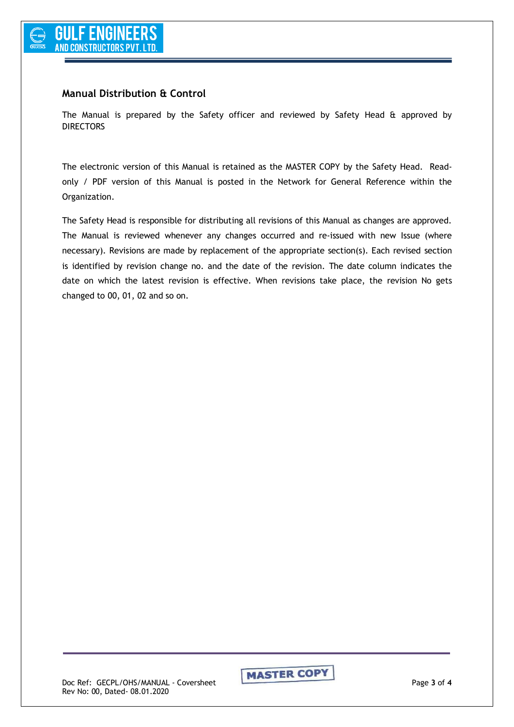#### **Manual Distribution & Control**

The Manual is prepared by the Safety officer and reviewed by Safety Head & approved by DIRECTORS

The electronic version of this Manual is retained as the MASTER COPY by the Safety Head. Readonly / PDF version of this Manual is posted in the Network for General Reference within the Organization.

The Safety Head is responsible for distributing all revisions of this Manual as changes are approved. The Manual is reviewed whenever any changes occurred and re-issued with new Issue (where necessary). Revisions are made by replacement of the appropriate section(s). Each revised section is identified by revision change no. and the date of the revision. The date column indicates the date on which the latest revision is effective. When revisions take place, the revision No gets changed to 00, 01, 02 and so on.